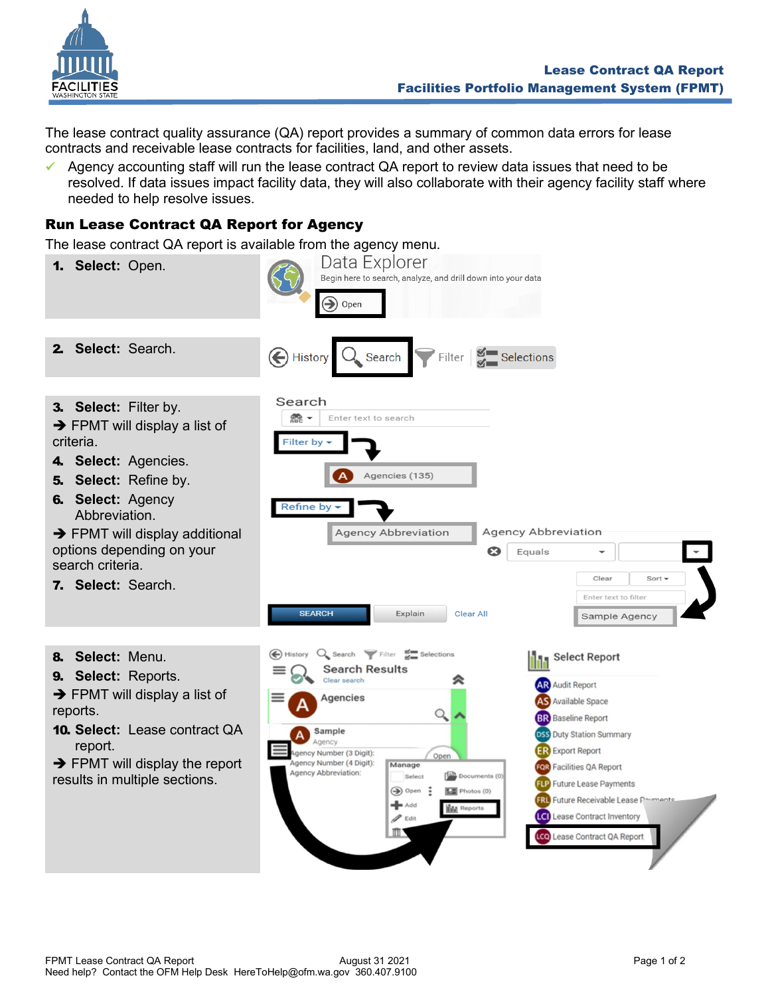

The lease contract quality assurance (QA) report provides a summary of common data errors for lease contracts and receivable lease contracts for facilities, land, and other assets.

✓ Agency accounting staff will run the lease contract QA report to review data issues that need to be resolved. If data issues impact facility data, they will also collaborate with their agency facility staff where needed to help resolve issues.

## Run Lease Contract QA Report for Agency

The lease contract QA report is available from the agency menu.

| The lease contract QA report is available from the agency menu.<br>Select: Open.<br>1.                                                                                                                                                                                             | Data Explorer<br>Begin here to search, analyze, and drill down into your data<br>$\textcolor{blue}{\blacktriangleright}$<br>Open                                                                                                                                                                                                                                                                                                                                                                                                                                                                                                                                                                                                                                                                     |
|------------------------------------------------------------------------------------------------------------------------------------------------------------------------------------------------------------------------------------------------------------------------------------|------------------------------------------------------------------------------------------------------------------------------------------------------------------------------------------------------------------------------------------------------------------------------------------------------------------------------------------------------------------------------------------------------------------------------------------------------------------------------------------------------------------------------------------------------------------------------------------------------------------------------------------------------------------------------------------------------------------------------------------------------------------------------------------------------|
| Select: Search.<br>2.                                                                                                                                                                                                                                                              | Filter $\frac{g}{g}$ Selections<br>A History<br>$\lambda$ Search                                                                                                                                                                                                                                                                                                                                                                                                                                                                                                                                                                                                                                                                                                                                     |
| 3. Select: Filter by.<br>$\rightarrow$ FPMT will display a list of<br>criteria.<br>4. Select: Agencies.<br>Select: Refine by.<br>5.<br>6. Select: Agency<br>Abbreviation.<br>→ FPMT will display additional<br>options depending on your<br>search criteria.<br>7. Select: Search. | Search<br><b>CRO</b><br>Enter text to search<br><b>Filter by</b><br>Agencies (135)<br><b>Refine by</b><br><b>Agency Abbreviation</b><br><b>Agency Abbreviation</b><br>ణ<br>Equals<br>Clear<br>Sort $\sim$<br>Enter text to filter<br><b>SEARCH</b><br>Explain<br><b>Clear All</b><br>Sample Agency                                                                                                                                                                                                                                                                                                                                                                                                                                                                                                   |
| 8. Select: Menu.<br>9. Select: Reports.<br>$\rightarrow$ FPMT will display a list of<br>reports.<br><b>10. Select:</b> Lease contract QA<br>report.<br>$\rightarrow$ FPMT will display the report<br>results in multiple sections.                                                 | $Q_{\bullet}$ Search $\blacktriangledown$ Filter $g_{\blacksquare}$ Selections<br>History<br><b>Select Report</b><br><b>Search Results</b><br>Clear search<br><b>AR</b> Audit Report<br>Agencies<br><b>AS</b> Available Space<br>Q<br><b>BR</b> Baseline Report<br>Sample<br><b>DSS</b> Duty Station Summary<br>Agency<br><b>ER</b> Export Report<br>gency Number (3 Digit):<br>Open<br>Agency Number (4 Digit):<br>Manage<br><b>FOR</b> Facilities QA Report<br>Agency Abbreviation:<br>$\left[\frac{\pi N}{n}\right]$ Documents (0)<br>Select<br><b>FLP</b> Future Lease Payments<br>$\bigcirc$ Open :<br>Photos (0)<br><b>FRL</b> Future Receivable Lease Payments<br>$\blacktriangleleft$ Add<br><b>IN</b> Reports<br>Lease Contract Inventory<br>$\mathscr{P}$ Edit<br>Lease Contract QA Report |